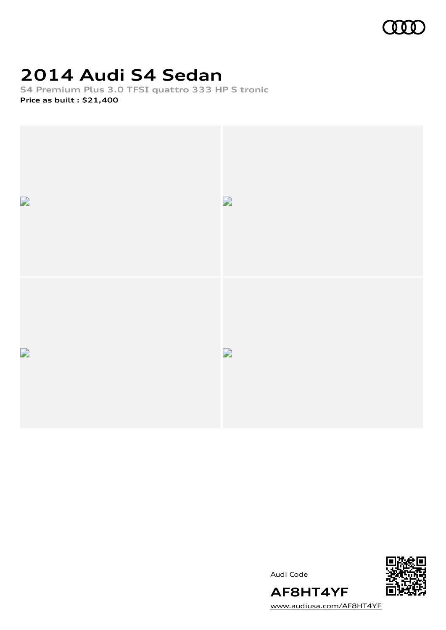

# **2014 Audi S4 Sedan**

**S4 Premium Plus 3.0 TFSI quattro 333 HP S tronic Price as built [:](#page-9-0) \$21,400**



Audi Code



[www.audiusa.com/AF8HT4YF](https://www.audiusa.com/AF8HT4YF)

**AF8HT4YF**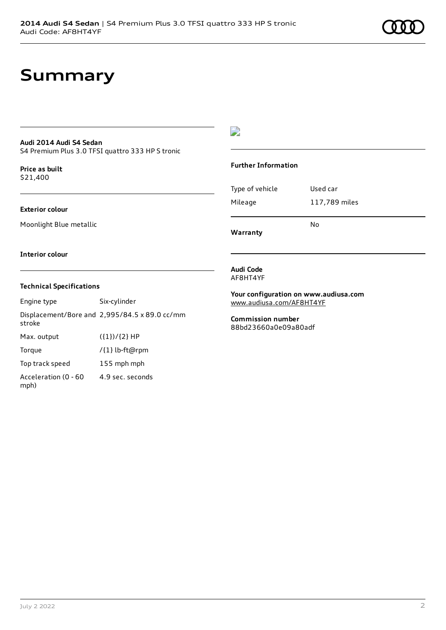## **Summary**

### **Audi 2014 Audi S4 Sedan**

S4 Premium Plus 3.0 TFSI quattro 333 HP S tronic

**Price as buil[t](#page-9-0)** \$21,400

### **Exterior colour**

Moonlight Blue metallic

### D

### **Further Information**

| Type of vehicle | Used car      |
|-----------------|---------------|
| Mileage         | 117,789 miles |
|                 |               |

**Warranty**

#### **Interior colour**

### **Technical Specifications**

Engine type Six-cylinder Displacement/Bore and 2,995/84.5 x 89.0 cc/mm stroke Max. output  $({1})/{2}$  HP Torque /{1} lb-ft@rpm Top track speed 155 mph mph Acceleration (0 - 60 mph) 4.9 sec. seconds

**Audi Code** AF8HT4YF

**Your configuration on www.audiusa.com** [www.audiusa.com/AF8HT4YF](https://www.audiusa.com/AF8HT4YF)

No

**Commission number** 88bd23660a0e09a80adf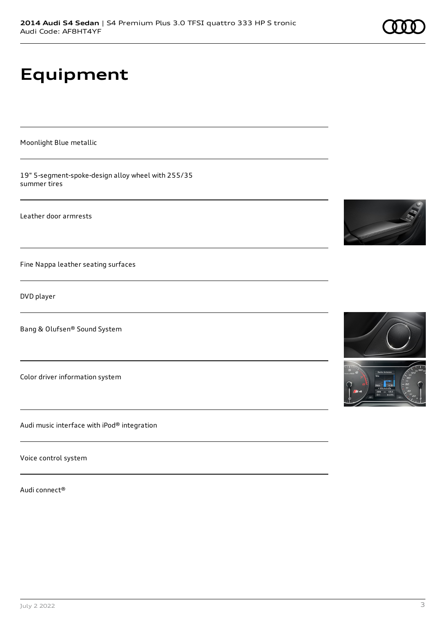# **Equipment**

Moonlight Blue metallic

19" 5-segment-spoke-design alloy wheel with 255/35 summer tires

Leather door armrests

Fine Nappa leather seating surfaces

DVD player

Bang & Olufsen® Sound System

Color driver information system

Audi music interface with iPod® integration

Voice control system

Audi connect®



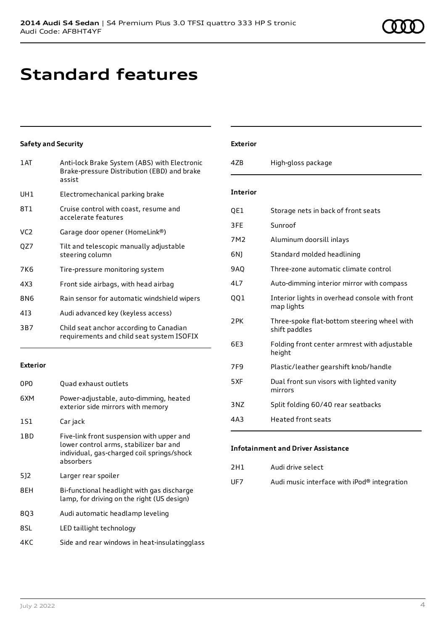# **Standard features**

### **Safety and Security**

| 1AT             | Anti-lock Brake System (ABS) with Electronic<br>Brake-pressure Distribution (EBD) and brake<br>assist |
|-----------------|-------------------------------------------------------------------------------------------------------|
| UH <sub>1</sub> | Electromechanical parking brake                                                                       |
| 8T1             | Cruise control with coast, resume and<br>accelerate features                                          |
| VC <sub>2</sub> | Garage door opener (HomeLink®)                                                                        |
| QZ7             | Tilt and telescopic manually adjustable<br>steering column                                            |
| 7K6             | Tire-pressure monitoring system                                                                       |
| 4X3             | Front side airbags, with head airbag                                                                  |
| 8N6             | Rain sensor for automatic windshield wipers                                                           |
| 413             | Audi advanced key (keyless access)                                                                    |
| 3B7             | Child seat anchor according to Canadian<br>requirements and child seat system ISOFIX                  |

### **Exterior**

| 0PO | Quad exhaust outlets                                                                                                                           |
|-----|------------------------------------------------------------------------------------------------------------------------------------------------|
| 6XM | Power-adjustable, auto-dimming, heated<br>exterior side mirrors with memory                                                                    |
| 1S1 | Car jack                                                                                                                                       |
| 1BD | Five-link front suspension with upper and<br>lower control arms, stabilizer bar and<br>individual, gas-charged coil springs/shock<br>absorbers |
| 5]2 | Larger rear spoiler                                                                                                                            |
| 8EH | Bi-functional headlight with gas discharge<br>lamp, for driving on the right (US design)                                                       |
| 803 | Audi automatic headlamp leveling                                                                                                               |
| 8SL | LED taillight technology                                                                                                                       |
| 4KC | Side and rear windows in heat-insulatingglass                                                                                                  |

## **Exterior**

| 47 <sub>B</sub> | High-gloss package                                           |
|-----------------|--------------------------------------------------------------|
| <b>Interior</b> |                                                              |
| QE1             | Storage nets in back of front seats                          |
| 3FE             | Sunroof                                                      |
| 7M2             | Aluminum doorsill inlays                                     |
| 6N)             | Standard molded headlining                                   |
| 9AQ             | Three-zone automatic climate control                         |
| 4L7             | Auto-dimming interior mirror with compass                    |
| QQ1             | Interior lights in overhead console with front<br>map lights |
| 2PK             | Three-spoke flat-bottom steering wheel with<br>shift paddles |
| 6F3             | Folding front center armrest with adjustable<br>height       |
| 7F <sub>9</sub> | Plastic/leather gearshift knob/handle                        |
| 5XF             | Dual front sun visors with lighted vanity<br>mirrors         |
| 3NZ             | Split folding 60/40 rear seatbacks                           |
| 4A3             | <b>Heated front seats</b>                                    |

### **Infotainment and Driver Assistance**

| 2H1 | Audi drive select                           |
|-----|---------------------------------------------|
| UF7 | Audi music interface with iPod® integration |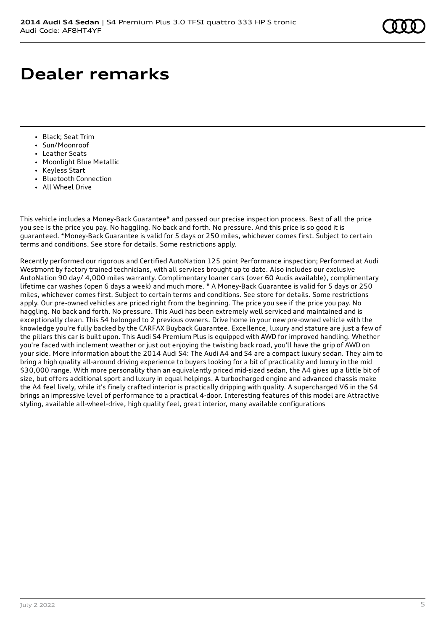# **Dealer remarks**

- Black; Seat Trim
- Sun/Moonroof
- Leather Seats
- Moonlight Blue Metallic
- Keyless Start
- Bluetooth Connection
- All Wheel Drive

This vehicle includes a Money-Back Guarantee\* and passed our precise inspection process. Best of all the price you see is the price you pay. No haggling. No back and forth. No pressure. And this price is so good it is guaranteed. \*Money-Back Guarantee is valid for 5 days or 250 miles, whichever comes first. Subject to certain terms and conditions. See store for details. Some restrictions apply.

Recently performed our rigorous and Certified AutoNation 125 point Performance inspection; Performed at Audi Westmont by factory trained technicians, with all services brought up to date. Also includes our exclusive AutoNation 90 day/ 4,000 miles warranty. Complimentary loaner cars (over 60 Audis available), complimentary lifetime car washes (open 6 days a week) and much more. \* A Money-Back Guarantee is valid for 5 days or 250 miles, whichever comes first. Subject to certain terms and conditions. See store for details. Some restrictions apply. Our pre-owned vehicles are priced right from the beginning. The price you see if the price you pay. No haggling. No back and forth. No pressure. This Audi has been extremely well serviced and maintained and is exceptionally clean. This S4 belonged to 2 previous owners. Drive home in your new pre-owned vehicle with the knowledge you're fully backed by the CARFAX Buyback Guarantee. Excellence, luxury and stature are just a few of the pillars this car is built upon. This Audi S4 Premium Plus is equipped with AWD for improved handling. Whether you're faced with inclement weather or just out enjoying the twisting back road, you'll have the grip of AWD on your side. More information about the 2014 Audi S4: The Audi A4 and S4 are a compact luxury sedan. They aim to bring a high quality all-around driving experience to buyers looking for a bit of practicality and luxury in the mid \$30,000 range. With more personality than an equivalently priced mid-sized sedan, the A4 gives up a little bit of size, but offers additional sport and luxury in equal helpings. A turbocharged engine and advanced chassis make the A4 feel lively, while it's finely crafted interior is practically dripping with quality. A supercharged V6 in the S4 brings an impressive level of performance to a practical 4-door. Interesting features of this model are Attractive styling, available all-wheel-drive, high quality feel, great interior, many available configurations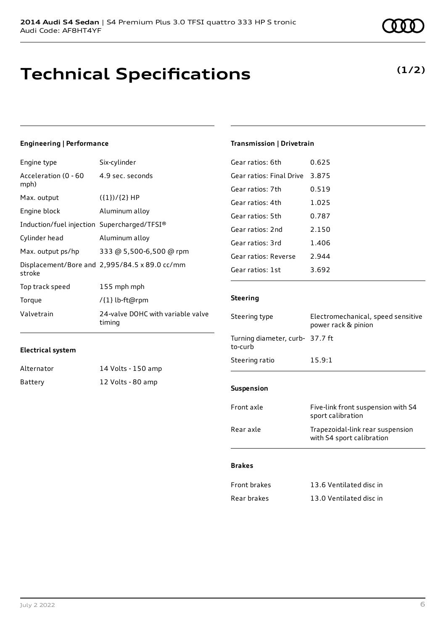# **Technical Specifications**

### **Engineering | Performance**

**Electrical system**

| Engine type                                 | Six-cylinder                                  |
|---------------------------------------------|-----------------------------------------------|
| Acceleration (0 - 60<br>mph)                | 4.9 sec. seconds                              |
| Max. output                                 | $({1})/{2}$ HP                                |
| Engine block                                | Aluminum alloy                                |
| Induction/fuel injection Supercharged/TFSI® |                                               |
| Cylinder head                               | Aluminum alloy                                |
| Max. output ps/hp                           | 333 @ 5,500-6,500 @ rpm                       |
| stroke                                      | Displacement/Bore and 2,995/84.5 x 89.0 cc/mm |
| Top track speed                             | 155 mph mph                                   |
| Torque                                      | /{1} lb-ft@rpm                                |
| Valvetrain                                  | 24-valve DOHC with variable valve<br>timina   |

Alternator 14 Volts - 150 amp Battery 12 Volts - 80 amp

### **Transmission | Drivetrain**

| Gear ratios: 6th         | 0.625 |
|--------------------------|-------|
| Gear ratios: Final Drive | 3.875 |
| Gear ratios: 7th         | 0.519 |
| Gear ratios: 4th         | 1.025 |
| Gear ratios: 5th         | 0.787 |
| Gear ratios: 2nd         | 2.150 |
| Gear ratios: 3rd         | 1.406 |
| Gear ratios: Reverse     | 2.944 |
| Gear ratios: 1st         | 3.692 |
|                          |       |

### **Steering**

| Steering type                              | Electromechanical, speed sensitive<br>power rack & pinion     |  |
|--------------------------------------------|---------------------------------------------------------------|--|
| Turning diameter, curb- 37.7 ft<br>to-curb |                                                               |  |
| Steering ratio                             | 15.9:1                                                        |  |
|                                            |                                                               |  |
| <b>Suspension</b>                          |                                                               |  |
| Front axle                                 | Five-link front suspension with S4<br>sport calibration       |  |
| Rear axle                                  | Trapezoidal-link rear suspension<br>with S4 sport calibration |  |
| <b>Brakes</b>                              |                                                               |  |
|                                            |                                                               |  |
| <b>Front brakes</b>                        | 13.6 Ventilated disc in                                       |  |
| Rear brakes                                | 13.0 Ventilated disc in                                       |  |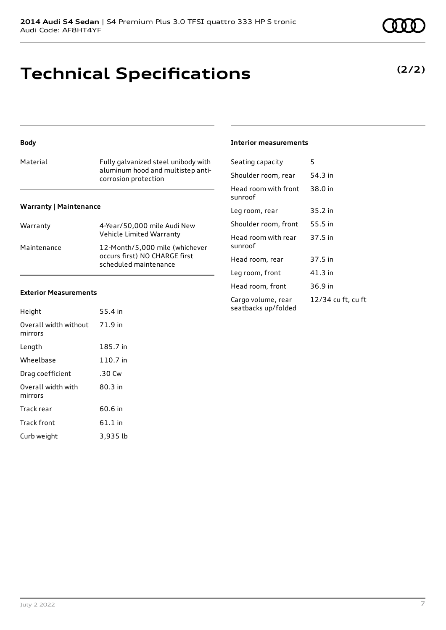## **Technical Specifications**

#### **Body**

| Material                      | Fully galvanized steel unibody with<br>aluminum hood and multistep anti-<br>corrosion protection |
|-------------------------------|--------------------------------------------------------------------------------------------------|
| <b>Warranty   Maintenance</b> |                                                                                                  |
| Warranty                      | 4-Year/50,000 mile Audi New<br>Vehicle Limited Warranty                                          |

Maintenance 12-Month/5,000 mile (whichever

occurs first) NO CHARGE first scheduled maintenance

#### **Exterior Measurements**

| Height                           | 55.4 in   |
|----------------------------------|-----------|
| Overall width without<br>mirrors | 71.9 in   |
| Length                           | 185.7 in  |
| Wheelbase                        | 110.7 in  |
| Drag coefficient                 | .30 Cw    |
| Overall width with<br>mirrors    | 80.3 in   |
| Track rear                       | 60.6 in   |
| <b>Track front</b>               | $61.1$ in |
| Curb weight                      | 3,935 lb  |

#### **Interior measurements**

| Seating capacity                          | 5                  |
|-------------------------------------------|--------------------|
| Shoulder room, rear                       | 54.3 in            |
| Head room with front<br>sunroof           | 38.0 in            |
| Leg room, rear                            | 35.2 in            |
| Shoulder room, front                      | 55.5 in            |
| Head room with rear<br>sunroof            | 37.5 in            |
| Head room, rear                           | 37.5 in            |
| Leg room, front                           | 41.3 in            |
| Head room, front                          | 36.9 in            |
| Cargo volume, rear<br>seatbacks up/folded | 12/34 cu ft, cu ft |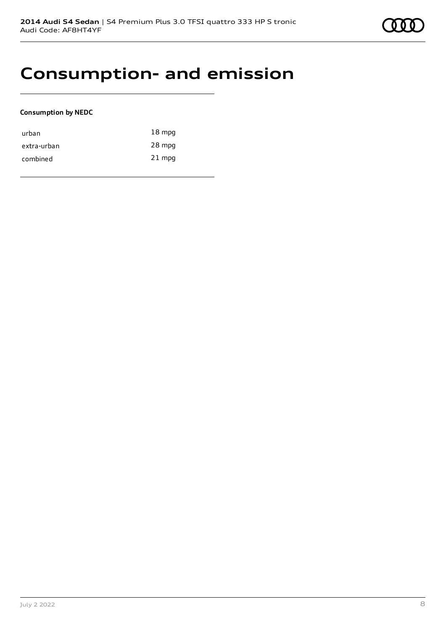## **Consumption- and emission**

### **Consumption by NEDC**

| urban       | $18 \text{ mpg}$ |
|-------------|------------------|
| extra-urban | 28 mpg           |
| combined    | $21$ mpg         |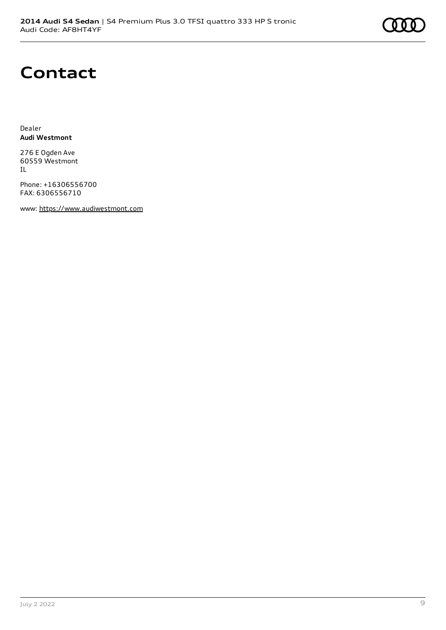## **Contact**

Dealer **Audi Westmont**

276 E Ogden Ave 60559 Westmont IL

Phone: +16306556700 FAX: 6306556710

www: [https://www.audiwestmont.com](https://www.audiwestmont.com/)